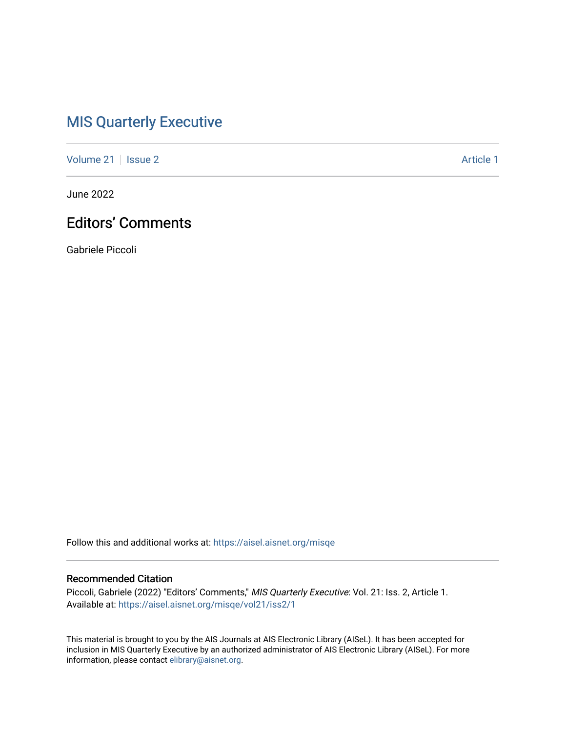## [MIS Quarterly Executive](https://aisel.aisnet.org/misqe)

[Volume 21](https://aisel.aisnet.org/misqe/vol21) | [Issue 2](https://aisel.aisnet.org/misqe/vol21/iss2) Article 1

June 2022

## Editors' Comments

Gabriele Piccoli

Follow this and additional works at: [https://aisel.aisnet.org/misqe](https://aisel.aisnet.org/misqe?utm_source=aisel.aisnet.org%2Fmisqe%2Fvol21%2Fiss2%2F1&utm_medium=PDF&utm_campaign=PDFCoverPages)

### Recommended Citation

Piccoli, Gabriele (2022) "Editors' Comments," MIS Quarterly Executive: Vol. 21: Iss. 2, Article 1. Available at: [https://aisel.aisnet.org/misqe/vol21/iss2/1](https://aisel.aisnet.org/misqe/vol21/iss2/1?utm_source=aisel.aisnet.org%2Fmisqe%2Fvol21%2Fiss2%2F1&utm_medium=PDF&utm_campaign=PDFCoverPages)

This material is brought to you by the AIS Journals at AIS Electronic Library (AISeL). It has been accepted for inclusion in MIS Quarterly Executive by an authorized administrator of AIS Electronic Library (AISeL). For more information, please contact [elibrary@aisnet.org.](mailto:elibrary@aisnet.org%3E)